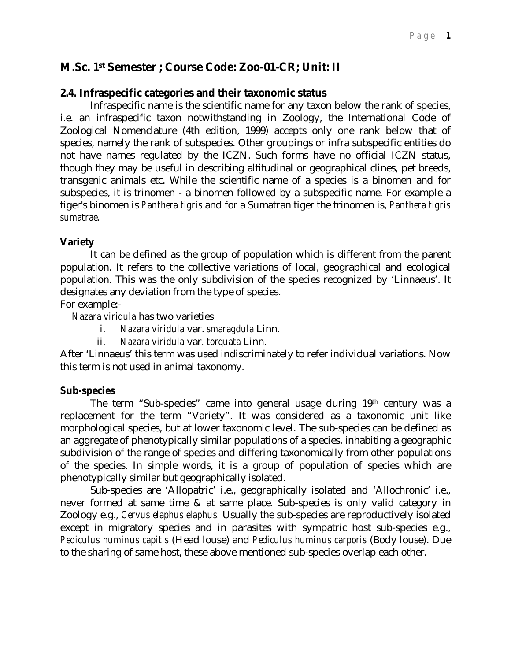# **M.Sc. 1st Semester ; Course Code: Zoo-01-CR; Unit: II**

# **2.4. Infraspecific categories and their taxonomic status**

Infraspecific name is the scientific name for any taxon below the rank of species, i.e. an infraspecific taxon notwithstanding in Zoology, the International Code of Zoological Nomenclature (4th edition, 1999) accepts only one rank below that of species, namely the rank of subspecies. Other groupings or infra subspecific entities do not have names regulated by the ICZN. Such forms have no official ICZN status, though they may be useful in describing altitudinal or geographical clines, pet breeds, transgenic animals etc. While the scientific name of a species is a binomen and for subspecies, it is trinomen - a binomen followed by a subspecific name. For example a tiger's binomen is *Panthera tigris* and for a Sumatran tiger the trinomen is, *Panthera tigris sumatrae*.

## **Variety**

It can be defined as the group of population which is different from the parent population. It refers to the collective variations of local, geographical and ecological population. This was the only subdivision of the species recognized by 'Linnaeus'. It designates any deviation from the type of species.

For example:-

*Nazara viridula* has two varieties

- i. *Nazara viridula* var. *smaragdula* Linn.
- ii. *Nazara viridula* var*. torquata* Linn.

After 'Linnaeus' this term was used indiscriminately to refer individual variations. Now this term is not used in animal taxonomy.

## **Sub-species**

The term "Sub-species" came into general usage during 19th century was a replacement for the term "Variety". It was considered as a taxonomic unit like morphological species, but at lower taxonomic level. The sub-species can be defined as an aggregate of phenotypically similar populations of a species, inhabiting a geographic subdivision of the range of species and differing taxonomically from other populations of the species. In simple words, it is a group of population of species which are phenotypically similar but geographically isolated.

Sub-species are 'Allopatric' i.e., geographically isolated and 'Allochronic' i.e., never formed at same time & at same place. Sub-species is only valid category in Zoology e.g., *Cervus elaphus elaphus.* Usually the sub-species are reproductively isolated except in migratory species and in parasites with sympatric host sub-species e.g., *Pediculus huminus capitis* (Head louse) and *Pediculus huminus carporis* (Body louse). Due to the sharing of same host, these above mentioned sub-species overlap each other.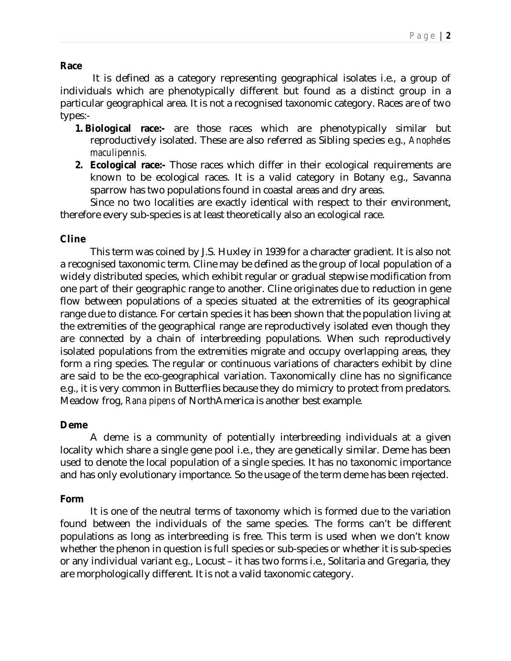## **Race**

It is defined as a category representing geographical isolates i.e., a group of individuals which are phenotypically different but found as a distinct group in a particular geographical area. It is not a recognised taxonomic category. Races are of two types:-

- **1. Biological race:-** are those races which are phenotypically similar but reproductively isolated. These are also referred as Sibling species e.g., *Anopheles maculipennis.*
- **2. Ecological race:-** Those races which differ in their ecological requirements are known to be ecological races. It is a valid category in Botany e.g., Savanna sparrow has two populations found in coastal areas and dry areas.

Since no two localities are exactly identical with respect to their environment, therefore every sub-species is at least theoretically also an ecological race.

## **Cline**

This term was coined by J.S. Huxley in 1939 for a character gradient. It is also not a recognised taxonomic term. Cline may be defined as the group of local population of a widely distributed species, which exhibit regular or gradual stepwise modification from one part of their geographic range to another. Cline originates due to reduction in gene flow between populations of a species situated at the extremities of its geographical range due to distance. For certain species it has been shown that the population living at the extremities of the geographical range are reproductively isolated even though they are connected by a chain of interbreeding populations. When such reproductively isolated populations from the extremities migrate and occupy overlapping areas, they form a ring species. The regular or continuous variations of characters exhibit by cline are said to be the eco-geographical variation. Taxonomically cline has no significance e.g., it is very common in Butterflies because they do mimicry to protect from predators. Meadow frog, *Rana pipens* of NorthAmerica is another best example*.*

## **Deme**

A deme is a community of potentially interbreeding individuals at a given locality which share a single gene pool i.e., they are genetically similar. Deme has been used to denote the local population of a single species. It has no taxonomic importance and has only evolutionary importance. So the usage of the term deme has been rejected.

#### **Form**

It is one of the neutral terms of taxonomy which is formed due to the variation found between the individuals of the same species. The forms can't be different populations as long as interbreeding is free. This term is used when we don't know whether the phenon in question is full species or sub-species or whether it is sub-species or any individual variant e.g., Locust – it has two forms i.e., Solitaria and Gregaria, they are morphologically different. It is not a valid taxonomic category.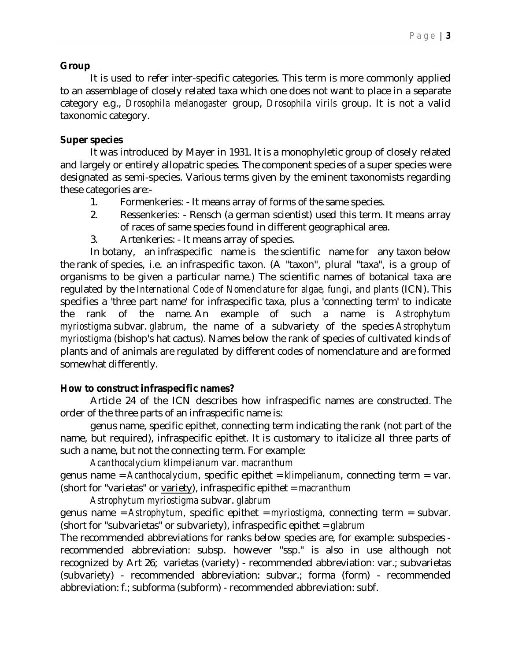#### **Group**

It is used to refer inter-specific categories. This term is more commonly applied to an assemblage of closely related taxa which one does not want to place in a separate category e.g., *Drosophila melanogaster* group, *Drosophila virils* group. It is not a valid taxonomic category.

## **Super species**

It was introduced by Mayer in 1931. It is a monophyletic group of closely related and largely or entirely allopatric species. The component species of a super species were designated as semi-species. Various terms given by the eminent taxonomists regarding these categories are:-

- 1. Formenkeries: It means array of forms of the same species.
- 2. Ressenkeries: Rensch (a german scientist) used this term. It means array of races of same species found in different geographical area.
- 3. Artenkeries: It means array of species.

In botany, an infraspecific name is the scientific name for any taxon below the rank of species, i.e. an infraspecific taxon. (A "taxon", plural "taxa", is a group of organisms to be given a particular name.) The scientific names of botanical taxa are regulated by the *International Code of Nomenclature for algae, fungi, and plants* (ICN). This specifies a 'three part name' for infraspecific taxa, plus a 'connecting term' to indicate the rank of the name. An example of such a name is *Astrophytum myriostigma* subvar. *glabrum*, the name of a subvariety of the species *Astrophytum myriostigma* (bishop's hat cactus). Names below the rank of species of cultivated kinds of plants and of animals are regulated by different codes of nomenclature and are formed somewhat differently.

## **How to construct infraspecific names?**

Article 24 of the ICN describes how infraspecific names are constructed. The order of the three parts of an infraspecific name is:

genus name, specific epithet, connecting term indicating the rank (not part of the name, but required), infraspecific epithet. It is customary to italicize all three parts of such a name, but not the connecting term. For example:

*Acanthocalycium klimpelianum* var. *macranthum*

genus name = *Acanthocalycium*, specific epithet = *klimpelianum*, connecting term = var. (short for "varietas" or variety), infraspecific epithet = *macranthum*

*Astrophytum myriostigma* subvar. *glabrum*

genus name = *Astrophytum*, specific epithet = *myriostigma*, connecting term = subvar. (short for "subvarietas" or subvariety), infraspecific epithet = *glabrum*

The recommended abbreviations for ranks below species are, for example: subspecies recommended abbreviation: subsp. however "ssp." is also in use although not recognized by Art 26; varietas (variety) - recommended abbreviation: var.; subvarietas (subvariety) - recommended abbreviation: subvar.; forma (form) - recommended abbreviation: f.; subforma (subform) - recommended abbreviation: subf.